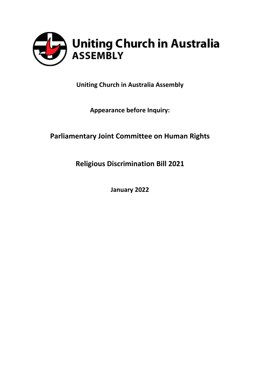

**Uniting Church in Australia Assembly**

**Appearance before Inquiry:**

## **Parliamentary Joint Committee on Human Rights**

**Religious Discrimination Bill 2021**

**January 2022**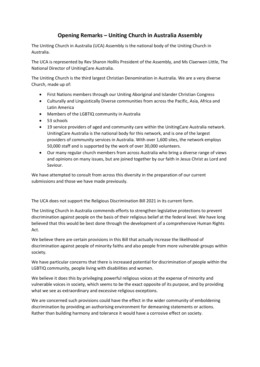## **Opening Remarks – Uniting Church in Australia Assembly**

The Uniting Church in Australia (UCA) Assembly is the national body of the Uniting Church in Australia.

The UCA is represented by Rev Sharon Holllis President of the Assembly, and Ms Claerwen Little, The National Director of UnitingCare Australia.

The Uniting Church is the third largest Christian Denomination in Australia. We are a very diverse Church, made up of:

- First Nations members through our Uniting Aboriginal and Islander Christian Congress
- Culturally and Linguistically Diverse communities from across the Pacific, Asia, Africa and Latin America
- Members of the LGBTIQ community in Australia
- 53 schools
- 19 service providers of aged and community care within the UnitingCare Australia network. UnitingCare Australia is the national body for this network, and is one of the largest providers of community services in Australia. With over 1,600 sites, the network employs 50,000 staff and is supported by the work of over 30,000 volunteers.
- Our many regular church members from across Australia who bring a diverse range of views and opinions on many issues, but are joined together by our faith in Jesus Christ as Lord and Saviour.

We have attempted to consult from across this diversity in the preparation of our current submissions and those we have made previously.

The UCA does not support the Religious Discrimination Bill 2021 in its current form.

The Uniting Church in Australia commends efforts to strengthen legislative protections to prevent discrimination against people on the basis of their religious belief at the federal level. We have long believed that this would be best done through the development of a comprehensive Human Rights Act.

We believe there are certain provisions in this Bill that actually increase the likelihood of discrimination against people of minority faiths and also people from more vulnerable groups within society.

We have particular concerns that there is increased potential for discrimination of people within the LGBTIQ community, people living with disabilities and women.

We believe it does this by privileging powerful religious voices at the expense of minority and vulnerable voices in society, which seems to be the exact opposite of its purpose, and by providing what we see as extraordinary and excessive religious exceptions.

We are concerned such provisions could have the effect in the wider community of emboldening discrimination by providing an authorising environment for demeaning statements or actions. Rather than building harmony and tolerance it would have a corrosive effect on society.